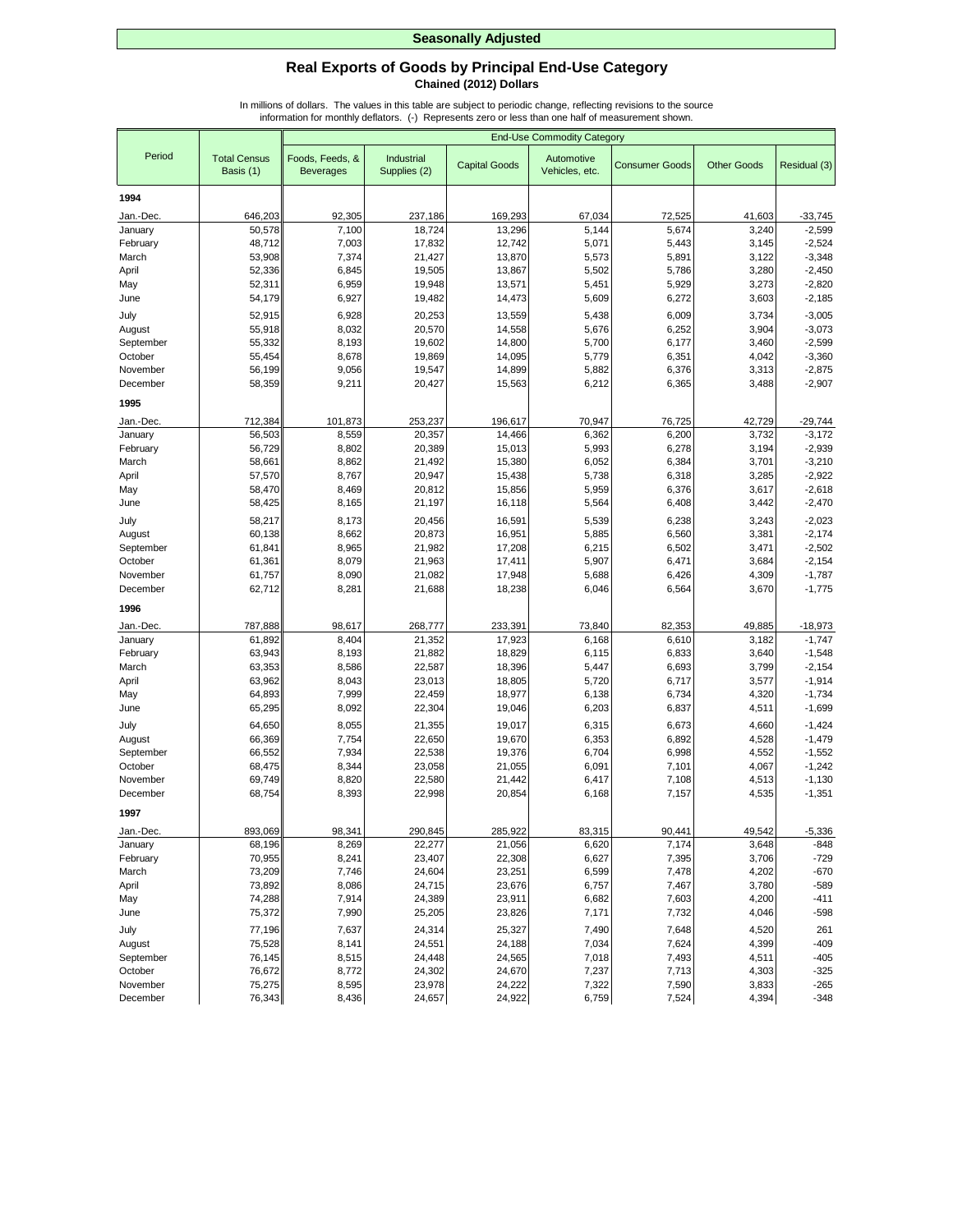## **Real Exports of Goods by Principal End-Use Category Chained (2012) Dollars**

|                      |                                  | <b>End-Use Commodity Category</b>   |                            |                      |                              |                       |                    |                      |
|----------------------|----------------------------------|-------------------------------------|----------------------------|----------------------|------------------------------|-----------------------|--------------------|----------------------|
| Period               | <b>Total Census</b><br>Basis (1) | Foods, Feeds, &<br><b>Beverages</b> | Industrial<br>Supplies (2) | <b>Capital Goods</b> | Automotive<br>Vehicles, etc. | <b>Consumer Goods</b> | <b>Other Goods</b> | Residual (3)         |
| 1994                 |                                  |                                     |                            |                      |                              |                       |                    |                      |
| Jan.-Dec.            | 646,203                          | 92,305                              | 237,186                    | 169,293              | 67,034                       | 72,525                | 41,603             | $-33,745$            |
| January              | 50,578                           | 7,100                               | 18,724                     | 13,296               | 5,144                        | 5,674                 | 3,240              | $-2,599$             |
| February             | 48,712                           | 7,003                               | 17,832                     | 12,742               | 5,071                        | 5,443                 | 3,145              | $-2,524$             |
| March                | 53,908                           | 7,374                               | 21,427                     | 13,870               | 5,573                        | 5,891                 | 3,122              | $-3,348$             |
| April                | 52,336                           | 6,845                               | 19,505                     | 13,867               | 5,502                        | 5,786                 | 3,280              | $-2,450$             |
| May                  | 52,311                           | 6,959                               | 19,948                     | 13,571               | 5,451                        | 5,929                 | 3,273              | $-2,820$             |
| June                 | 54,179                           | 6,927                               | 19,482                     | 14,473               | 5,609                        | 6,272                 | 3,603              | $-2,185$             |
| July                 | 52,915                           | 6,928                               | 20,253                     | 13,559               | 5,438                        | 6,009                 | 3,734              | $-3,005$             |
| August               | 55,918                           | 8,032                               | 20,570                     | 14,558               | 5,676                        | 6,252                 | 3,904              | $-3,073$             |
| September            | 55,332                           | 8,193                               | 19,602                     | 14,800               | 5,700                        | 6,177                 | 3,460              | $-2,599$             |
| October              | 55,454                           | 8,678                               | 19,869                     | 14,095               | 5,779                        | 6,351                 | 4,042              | $-3,360$             |
| November             | 56,199                           | 9,056                               | 19,547                     | 14,899               | 5,882                        | 6,376                 | 3,313              | $-2,875$             |
| December             | 58,359                           | 9,211                               | 20,427                     | 15,563               | 6,212                        | 6,365                 | 3,488              | $-2,907$             |
| 1995                 |                                  |                                     |                            |                      |                              |                       |                    |                      |
| Jan.-Dec.            | 712,384                          | 101,873                             | 253,237                    | 196,617              | 70,947                       | 76,725                | 42,729             | $-29,744$            |
| January              | 56,503                           | 8,559                               | 20,357                     | 14,466               | 6,362                        | 6,200                 | 3,732              | $-3,172$             |
| February             | 56,729                           | 8,802                               | 20,389                     | 15,013               | 5,993                        | 6,278                 | 3,194              | $-2,939$             |
| March                | 58,661                           | 8,862                               | 21,492                     | 15,380               | 6,052                        | 6,384                 | 3,701              | $-3,210$             |
| April                | 57,570                           | 8,767                               | 20,947                     | 15,438               | 5,738                        | 6,318                 | 3,285              | $-2,922$             |
| May                  | 58,470                           | 8,469                               | 20,812                     | 15,856               | 5,959                        | 6,376                 | 3,617              | $-2,618$             |
| June                 | 58,425                           | 8,165                               | 21,197                     | 16,118               | 5,564                        | 6,408                 | 3,442              | $-2,470$             |
| July                 | 58,217                           | 8,173                               | 20,456                     | 16,591               | 5,539                        | 6,238                 | 3,243              | $-2,023$             |
| August               | 60,138                           | 8,662                               | 20,873                     | 16,951               | 5,885                        | 6,560                 | 3,381              | $-2,174$             |
| September<br>October | 61,841<br>61,361                 | 8,965<br>8,079                      | 21,982<br>21,963           | 17,208<br>17,411     | 6,215<br>5,907               | 6,502<br>6,471        | 3,471<br>3,684     | $-2,502$<br>$-2,154$ |
| November             | 61,757                           | 8,090                               | 21,082                     | 17,948               | 5,688                        | 6,426                 | 4,309              | $-1,787$             |
| December             | 62,712                           | 8,281                               | 21,688                     | 18,238               | 6,046                        | 6,564                 | 3,670              | $-1,775$             |
|                      |                                  |                                     |                            |                      |                              |                       |                    |                      |
| 1996                 |                                  |                                     |                            |                      |                              |                       |                    |                      |
| Jan.-Dec.            | 787,888                          | 98,617                              | 268,777                    | 233,391              | 73,840                       | 82,353                | 49,885             | $-18,973$            |
| January              | 61,892                           | 8,404                               | 21,352                     | 17,923               | 6,168                        | 6,610                 | 3,182              | $-1,747$             |
| February<br>March    | 63,943<br>63,353                 | 8,193<br>8,586                      | 21,882<br>22,587           | 18,829<br>18,396     | 6,115<br>5,447               | 6,833<br>6,693        | 3,640<br>3,799     | $-1,548$<br>$-2,154$ |
| April                | 63,962                           | 8,043                               | 23,013                     | 18,805               | 5,720                        | 6,717                 | 3,577              | $-1,914$             |
| May                  | 64,893                           | 7,999                               | 22,459                     | 18,977               | 6,138                        | 6,734                 | 4,320              | $-1,734$             |
| June                 | 65,295                           | 8,092                               | 22,304                     | 19,046               | 6,203                        | 6,837                 | 4,511              | $-1,699$             |
| July                 | 64,650                           | 8,055                               | 21,355                     | 19,017               | 6,315                        | 6,673                 | 4,660              | $-1,424$             |
| August               | 66,369                           | 7,754                               | 22,650                     | 19,670               | 6,353                        | 6,892                 | 4,528              | $-1,479$             |
| September            | 66,552                           | 7,934                               | 22,538                     | 19,376               | 6,704                        | 6,998                 | 4,552              | $-1,552$             |
| October              | 68,475                           | 8,344                               | 23,058                     | 21,055               | 6,091                        | 7,101                 | 4,067              | $-1,242$             |
| November             | 69,749                           | 8,820                               | 22,580                     | 21,442               | 6,417                        | 7,108                 | 4,513              | $-1,130$             |
| December             | 68,754                           | 8,393                               | 22,998                     | 20,854               | 6,168                        | 7,157                 | 4,535              | $-1,351$             |
| 1997                 |                                  |                                     |                            |                      |                              |                       |                    |                      |
| Jan.-Dec.            | 893,069                          | 98,341                              | 290,845                    | 285,922              | 83,315                       | 90,441                | 49,542             | $-5,336$             |
| January              | 68,196                           | 8,269                               | 22,277                     | 21,056               | 6,620                        | 7,174                 | 3,648              | $-848$               |
| February             | 70,955                           | 8,241                               | 23,407                     | 22,308               | 6,627                        | 7,395                 | 3,706              | $-729$               |
| March                | 73,209                           | 7,746                               | 24,604                     | 23,251               | 6,599                        | 7,478                 | 4,202              | $-670$               |
| April                | 73,892                           | 8,086                               | 24,715                     | 23,676               | 6,757                        | 7,467                 | 3,780              | $-589$               |
| May                  | 74,288                           | 7,914                               | 24,389                     | 23,911               | 6,682                        | 7,603                 | 4,200              | $-411$               |
| June                 | 75,372                           | 7,990                               | 25,205                     | 23,826               | 7,171                        | 7,732                 | 4,046              | $-598$               |
| July                 | 77,196                           | 7,637                               | 24,314                     | 25,327               | 7,490                        | 7,648                 | 4,520              | 261                  |
| August               | 75,528                           | 8,141                               | 24,551                     | 24,188               | 7,034                        | 7,624                 | 4,399              | $-409$               |
| September            | 76,145                           | 8,515                               | 24,448                     | 24,565               | 7,018                        | 7,493                 | 4,511              | $-405$               |
| October              | 76,672                           | 8,772                               | 24,302                     | 24,670               | 7,237                        | 7,713                 | 4,303              | $-325$               |
| November             | 75,275                           | 8,595                               | 23,978                     | 24,222               | 7,322                        | 7,590                 | 3,833              | $-265$               |
| December             | 76,343                           | 8,436                               | 24,657                     | 24,922               | 6,759                        | 7,524                 | 4,394              | -348                 |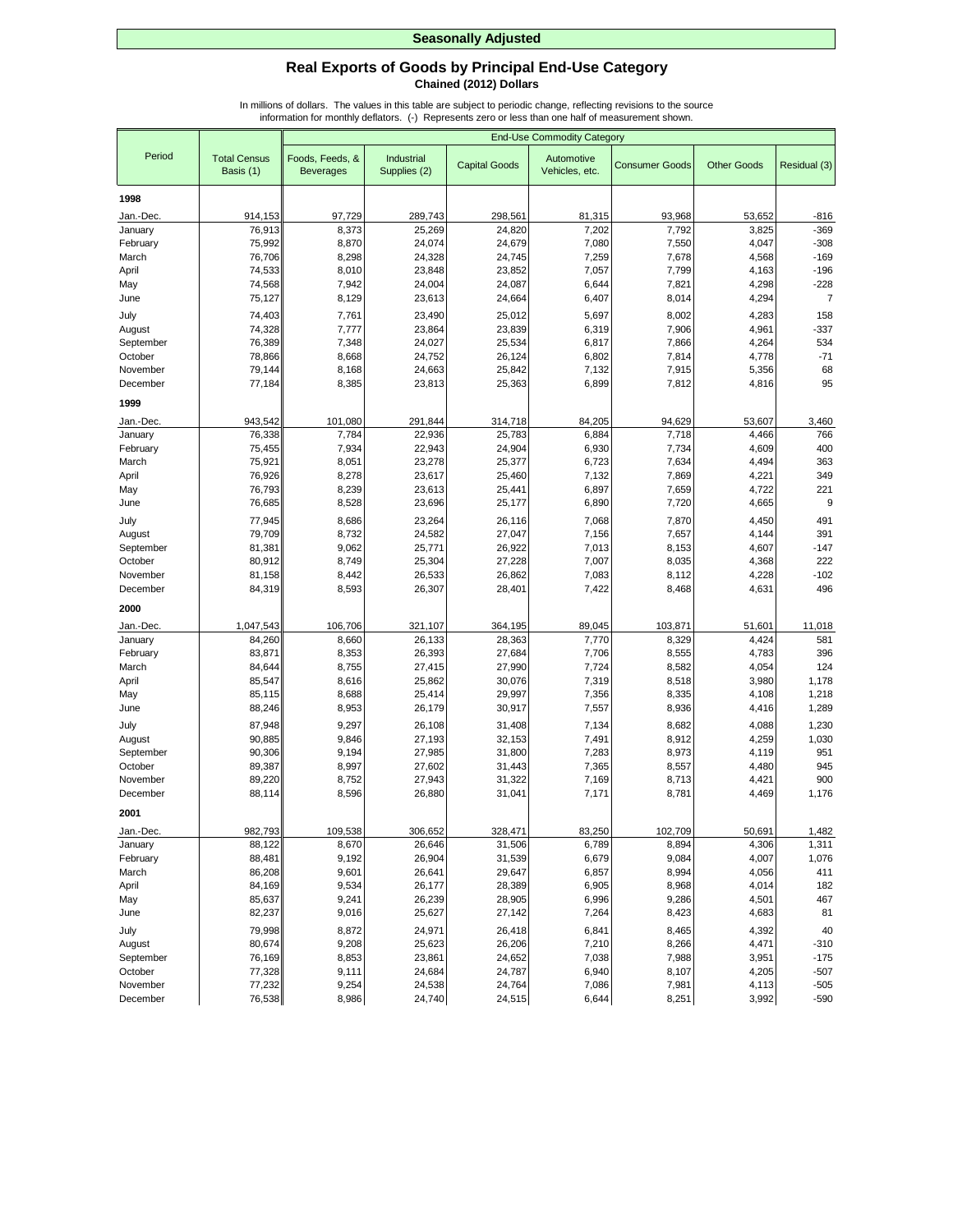## **Real Exports of Goods by Principal End-Use Category Chained (2012) Dollars**

|                      |                                  |                                     | <b>End-Use Commodity Category</b> |                      |                              |                       |                    |                |
|----------------------|----------------------------------|-------------------------------------|-----------------------------------|----------------------|------------------------------|-----------------------|--------------------|----------------|
| Period               | <b>Total Census</b><br>Basis (1) | Foods, Feeds, &<br><b>Beverages</b> | Industrial<br>Supplies (2)        | <b>Capital Goods</b> | Automotive<br>Vehicles, etc. | <b>Consumer Goods</b> | <b>Other Goods</b> | Residual (3)   |
| 1998                 |                                  |                                     |                                   |                      |                              |                       |                    |                |
| Jan.-Dec.            | 914,153                          | 97,729                              | 289,743                           | 298,561              | 81,315                       | 93,968                | 53,652             | -816           |
| January              | 76,913                           | 8,373                               | 25,269                            | 24,820               | 7,202                        | 7,792                 | 3,825              | $-369$         |
| February             | 75,992                           | 8,870                               | 24,074                            | 24,679               | 7,080                        | 7,550                 | 4,047              | $-308$         |
| March                | 76,706                           | 8,298                               | 24,328                            | 24,745               | 7,259                        | 7,678                 | 4,568              | $-169$         |
| April                | 74,533                           | 8,010                               | 23,848                            | 23,852               | 7,057                        | 7,799                 | 4,163              | $-196$         |
| May                  | 74,568                           | 7,942                               | 24,004                            | 24,087               | 6,644                        | 7,821                 | 4,298              | $-228$         |
| June                 | 75,127                           | 8,129                               | 23,613                            | 24,664               | 6,407                        | 8,014                 | 4,294              | $\overline{7}$ |
| July                 | 74,403                           | 7,761                               | 23,490                            | 25,012               | 5,697                        | 8,002                 | 4,283              | 158            |
| August               | 74,328                           | 7,777                               | 23,864                            | 23,839               | 6,319                        | 7,906                 | 4,961              | $-337$         |
| September            | 76,389                           | 7,348                               | 24,027                            | 25,534               | 6,817                        | 7,866                 | 4,264              | 534            |
| October              | 78,866                           | 8,668                               | 24,752                            | 26,124               | 6,802                        | 7,814                 | 4,778              | $-71$          |
| November             | 79,144                           | 8,168                               | 24,663                            | 25,842               | 7,132                        | 7,915                 | 5,356              | 68<br>95       |
| December             | 77,184                           | 8,385                               | 23,813                            | 25,363               | 6,899                        | 7,812                 | 4,816              |                |
| 1999                 |                                  |                                     |                                   |                      |                              |                       |                    |                |
| Jan.-Dec.            | 943,542                          | 101,080                             | 291,844                           | 314,718              | 84,205                       | 94,629                | 53,607             | 3,460          |
| January              | 76,338                           | 7,784                               | 22,936                            | 25,783               | 6,884                        | 7,718                 | 4,466              | 766            |
| February             | 75,455                           | 7,934                               | 22,943                            | 24,904               | 6,930                        | 7,734                 | 4,609              | 400            |
| March                | 75,921                           | 8,051                               | 23,278                            | 25,377               | 6,723                        | 7,634                 | 4,494              | 363            |
| April                | 76,926<br>76,793                 | 8,278<br>8,239                      | 23,617<br>23,613                  | 25,460<br>25,441     | 7,132<br>6,897               | 7,869<br>7,659        | 4,221<br>4,722     | 349<br>221     |
| May<br>June          | 76,685                           | 8,528                               | 23,696                            | 25,177               | 6,890                        | 7,720                 | 4,665              | 9              |
| July                 | 77,945                           | 8,686                               | 23,264                            | 26,116               | 7,068                        | 7,870                 | 4,450              | 491            |
| August               | 79,709                           | 8,732                               | 24,582                            | 27,047               | 7,156                        | 7,657                 | 4,144              | 391            |
| September            | 81,381                           | 9,062                               | 25,771                            | 26,922               | 7,013                        | 8,153                 | 4,607              | $-147$         |
| October              | 80,912                           | 8,749                               | 25,304                            | 27,228               | 7,007                        | 8,035                 | 4,368              | 222            |
| November             | 81,158                           | 8,442                               | 26,533                            | 26,862               | 7,083                        | 8,112                 | 4,228              | $-102$         |
| December             | 84,319                           | 8,593                               | 26,307                            | 28,401               | 7,422                        | 8,468                 | 4,631              | 496            |
| 2000                 |                                  |                                     |                                   |                      |                              |                       |                    |                |
| Jan.-Dec.            | 1,047,543                        | 106,706                             | 321,107                           | 364,195              | 89,045                       | 103,871               | 51,601             | 11,018         |
| January              | 84,260                           | 8,660                               | 26,133                            | 28,363               | 7,770                        | 8,329                 | 4,424              | 581            |
| February             | 83,871                           | 8,353                               | 26,393                            | 27,684               | 7,706                        | 8,555                 | 4,783              | 396            |
| March                | 84,644                           | 8,755                               | 27,415                            | 27,990               | 7,724                        | 8,582                 | 4,054              | 124            |
| April                | 85,547                           | 8,616                               | 25,862                            | 30,076               | 7,319                        | 8,518                 | 3,980              | 1,178          |
| May                  | 85,115                           | 8,688                               | 25,414                            | 29,997               | 7,356                        | 8,335                 | 4,108              | 1,218          |
| June                 | 88,246                           | 8,953                               | 26,179                            | 30,917               | 7,557                        | 8,936                 | 4,416              | 1,289          |
| July                 | 87,948                           | 9,297                               | 26,108                            | 31,408               | 7,134                        | 8,682                 | 4,088              | 1,230          |
| August               | 90,885                           | 9,846                               | 27,193                            | 32,153               | 7,491                        | 8,912                 | 4,259              | 1,030          |
| September            | 90,306                           | 9,194                               | 27,985                            | 31,800               | 7,283                        | 8,973                 | 4,119              | 951            |
| October              | 89,387                           | 8,997                               | 27,602                            | 31,443               | 7,365                        | 8,557                 | 4,480              | 945            |
| November<br>December | 89,220<br>88,114                 | 8,752<br>8,596                      | 27,943<br>26,880                  | 31,322<br>31,041     | 7,169<br>7,171               | 8,713<br>8,781        | 4,421<br>4,469     | 900<br>1,176   |
|                      |                                  |                                     |                                   |                      |                              |                       |                    |                |
| 2001                 |                                  |                                     |                                   |                      |                              |                       |                    |                |
| Jan.-Dec.            | 982,793                          | 109,538                             | 306,652                           | 328,471              | 83,250                       | 102,709               | 50,691             | 1,482          |
| January              | 88,122                           | 8,670                               | 26,646                            | 31,506               | 6,789                        | 8,894                 | 4,306              | 1,311          |
| February<br>March    | 88,481<br>86,208                 | 9,192<br>9,601                      | 26,904<br>26,641                  | 31,539<br>29,647     | 6,679<br>6,857               | 9,084<br>8,994        | 4,007<br>4,056     | 1,076<br>411   |
| April                | 84,169                           | 9,534                               | 26,177                            | 28,389               | 6,905                        | 8,968                 | 4,014              | 182            |
| May                  | 85,637                           | 9,241                               | 26,239                            | 28,905               | 6,996                        | 9,286                 | 4,501              | 467            |
| June                 | 82,237                           | 9,016                               | 25,627                            | 27,142               | 7,264                        | 8,423                 | 4,683              | 81             |
| July                 | 79,998                           | 8,872                               | 24,971                            | 26,418               | 6,841                        | 8,465                 | 4,392              | 40             |
| August               | 80,674                           | 9,208                               | 25,623                            | 26,206               | 7,210                        | 8,266                 | 4,471              | $-310$         |
| September            | 76,169                           | 8,853                               | 23,861                            | 24,652               | 7,038                        | 7,988                 | 3,951              | $-175$         |
| October              | 77,328                           | 9,111                               | 24,684                            | 24,787               | 6,940                        | 8,107                 | 4,205              | $-507$         |
| November             | 77,232                           | 9,254                               | 24,538                            | 24,764               | 7,086                        | 7,981                 | 4,113              | $-505$         |
| December             | 76,538                           | 8,986                               | 24,740                            | 24,515               | 6,644                        | 8,251                 | 3,992              | $-590$         |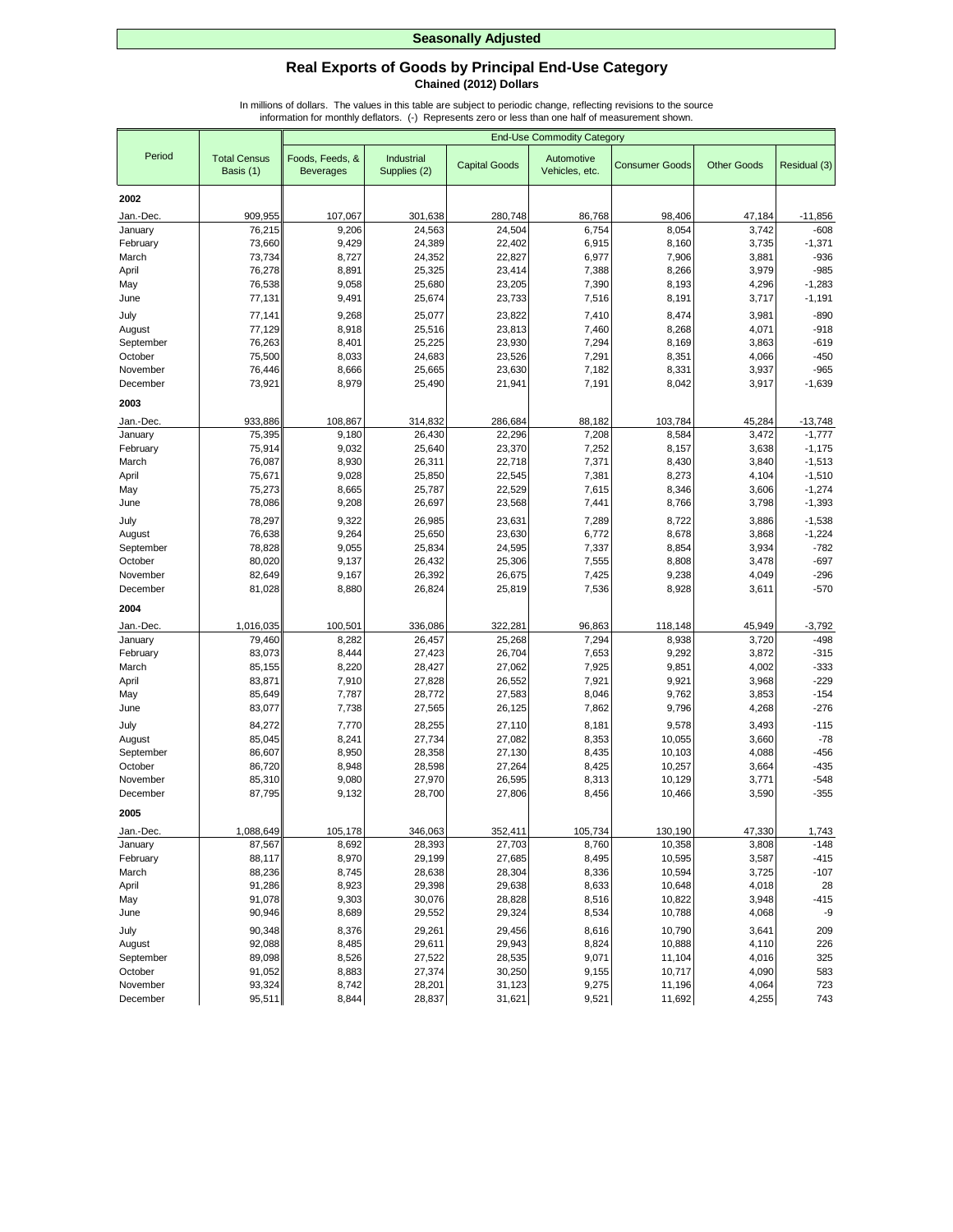## **Real Exports of Goods by Principal End-Use Category Chained (2012) Dollars**

|                      |                                  |                                     | <b>End-Use Commodity Category</b> |                      |                              |                       |                    |                  |
|----------------------|----------------------------------|-------------------------------------|-----------------------------------|----------------------|------------------------------|-----------------------|--------------------|------------------|
| Period               | <b>Total Census</b><br>Basis (1) | Foods, Feeds, &<br><b>Beverages</b> | Industrial<br>Supplies (2)        | <b>Capital Goods</b> | Automotive<br>Vehicles, etc. | <b>Consumer Goods</b> | <b>Other Goods</b> | Residual (3)     |
| 2002                 |                                  |                                     |                                   |                      |                              |                       |                    |                  |
| Jan.-Dec.            | 909,955                          | 107,067                             | 301,638                           | 280,748              | 86,768                       | 98,406                | 47,184             | $-11,856$        |
| January              | 76,215                           | 9,206                               | 24,563                            | 24,504               | 6,754                        | 8,054                 | 3,742              | $-608$           |
| February             | 73,660                           | 9,429                               | 24,389                            | 22,402               | 6,915                        | 8,160                 | 3,735              | $-1,371$         |
| March                | 73,734                           | 8,727                               | 24,352                            | 22,827               | 6,977                        | 7,906                 | 3,881              | $-936$           |
| April                | 76,278                           | 8,891                               | 25,325                            | 23,414               | 7,388                        | 8,266                 | 3,979              | $-985$           |
| May                  | 76,538                           | 9,058                               | 25,680                            | 23,205               | 7,390                        | 8,193                 | 4,296              | $-1,283$         |
| June                 | 77,131                           | 9,491                               | 25,674                            | 23,733               | 7,516                        | 8,191                 | 3,717              | $-1,191$         |
| July                 | 77,141                           | 9,268                               | 25,077                            | 23,822               | 7,410                        | 8,474                 | 3,981              | $-890$           |
| August               | 77,129                           | 8,918                               | 25,516                            | 23,813               | 7,460                        | 8,268                 | 4,071              | $-918$           |
| September            | 76,263                           | 8,401                               | 25,225                            | 23,930               | 7,294                        | 8,169                 | 3,863              | $-619$           |
| October              | 75,500                           | 8,033                               | 24,683                            | 23,526               | 7,291                        | 8,351                 | 4,066              | $-450$           |
| November             | 76,446                           | 8,666                               | 25,665                            | 23,630               | 7,182                        | 8,331                 | 3,937              | $-965$           |
| December             | 73,921                           | 8,979                               | 25,490                            | 21,941               | 7,191                        | 8,042                 | 3,917              | $-1,639$         |
| 2003                 |                                  |                                     |                                   |                      |                              |                       |                    |                  |
| Jan.-Dec.            | 933,886                          | 108,867                             | 314,832                           | 286,684              | 88,182                       | 103,784               | 45,284             | $-13,748$        |
| January              | 75,395                           | 9,180                               | 26,430                            | 22,296               | 7,208                        | 8,584                 | 3,472              | $-1,777$         |
| February             | 75,914                           | 9,032                               | 25,640                            | 23,370               | 7,252                        | 8,157                 | 3,638              | $-1,175$         |
| March                | 76,087                           | 8,930                               | 26,311                            | 22,718               | 7,371                        | 8,430                 | 3,840              | $-1,513$         |
| April                | 75,671                           | 9,028                               | 25,850                            | 22,545               | 7,381                        | 8,273                 | 4,104              | $-1,510$         |
| May                  | 75,273                           | 8,665                               | 25,787                            | 22,529               | 7,615                        | 8,346                 | 3,606              | $-1,274$         |
| June                 | 78,086                           | 9,208                               | 26,697                            | 23,568               | 7,441                        | 8,766                 | 3,798              | $-1,393$         |
| July                 | 78,297                           | 9,322                               | 26,985                            | 23,631               | 7,289                        | 8,722                 | 3,886              | $-1,538$         |
| August               | 76,638                           | 9,264                               | 25,650                            | 23,630               | 6,772                        | 8,678                 | 3,868              | $-1,224$         |
| September<br>October | 78,828<br>80,020                 | 9,055<br>9,137                      | 25,834                            | 24,595<br>25,306     | 7,337<br>7,555               | 8,854<br>8,808        | 3,934<br>3,478     | $-782$<br>$-697$ |
| November             | 82,649                           | 9,167                               | 26,432<br>26,392                  | 26,675               | 7,425                        | 9,238                 | 4,049              | $-296$           |
| December             | 81,028                           | 8,880                               | 26,824                            | 25,819               | 7,536                        | 8,928                 | 3,611              | $-570$           |
|                      |                                  |                                     |                                   |                      |                              |                       |                    |                  |
| 2004                 |                                  |                                     |                                   |                      |                              |                       |                    |                  |
| Jan.-Dec.            | 1,016,035                        | 100,501                             | 336,086                           | 322,281              | 96,863                       | 118,148               | 45,949             | $-3,792$         |
| January              | 79,460                           | 8,282                               | 26,457                            | 25,268               | 7,294                        | 8,938                 | 3,720              | $-498$           |
| February<br>March    | 83,073<br>85,155                 | 8,444<br>8,220                      | 27,423<br>28,427                  | 26,704<br>27,062     | 7,653<br>7,925               | 9,292<br>9,851        | 3,872<br>4,002     | $-315$<br>$-333$ |
| April                | 83,871                           | 7,910                               | 27,828                            | 26,552               | 7,921                        | 9,921                 | 3,968              | $-229$           |
| May                  | 85,649                           | 7,787                               | 28,772                            | 27,583               | 8,046                        | 9,762                 | 3,853              | $-154$           |
| June                 | 83,077                           | 7,738                               | 27,565                            | 26,125               | 7,862                        | 9,796                 | 4,268              | $-276$           |
| July                 | 84,272                           | 7,770                               | 28,255                            | 27,110               | 8,181                        | 9,578                 | 3,493              | $-115$           |
| August               | 85,045                           | 8,241                               | 27,734                            | 27,082               | 8,353                        | 10,055                | 3,660              | $-78$            |
| September            | 86,607                           | 8,950                               | 28,358                            | 27,130               | 8,435                        | 10,103                | 4,088              | $-456$           |
| October              | 86,720                           | 8,948                               | 28,598                            | 27,264               | 8,425                        | 10,257                | 3,664              | $-435$           |
| November             | 85,310                           | 9,080                               | 27,970                            | 26,595               | 8,313                        | 10,129                | 3,771              | $-548$           |
| December             | 87,795                           | 9,132                               | 28,700                            | 27,806               | 8,456                        | 10,466                | 3,590              | $-355$           |
| 2005                 |                                  |                                     |                                   |                      |                              |                       |                    |                  |
| Jan.-Dec.            | 1,088,649                        | 105,178                             | 346,063                           | 352,411              | 105,734                      | 130,190               | 47,330             | 1,743            |
| January              | 87,567                           | 8,692                               | 28,393                            | 27,703               | 8,760                        | 10,358                | 3,808              | $-148$           |
| February             | 88,117                           | 8,970                               | 29,199                            | 27,685               | 8,495                        | 10,595                | 3,587              | $-415$           |
| March                | 88,236                           | 8,745                               | 28,638                            | 28,304               | 8,336                        | 10,594                | 3,725              | $-107$           |
| April                | 91,286                           | 8,923                               | 29,398                            | 29,638               | 8,633                        | 10,648                | 4,018              | 28               |
| May                  | 91,078                           | 9,303                               | 30,076                            | 28,828               | 8,516                        | 10,822                | 3,948              | $-415$           |
| June                 | 90,946                           | 8,689                               | 29,552                            | 29,324               | 8,534                        | 10,788                | 4,068              | -9               |
| July                 | 90,348                           | 8,376                               | 29,261                            | 29,456               | 8,616                        | 10,790                | 3,641              | 209              |
| August               | 92,088                           | 8,485                               | 29,611                            | 29,943               | 8,824                        | 10,888                | 4,110              | 226              |
| September            | 89,098                           | 8,526                               | 27,522                            | 28,535               | 9,071                        | 11,104<br>10,717      | 4,016              | 325              |
| October<br>November  | 91,052<br>93,324                 | 8,883<br>8,742                      | 27,374<br>28,201                  | 30,250<br>31,123     | 9,155<br>9,275               | 11,196                | 4,090<br>4,064     | 583<br>723       |
| December             | 95,511                           | 8,844                               | 28,837                            | 31,621               | 9,521                        | 11,692                | 4,255              | 743              |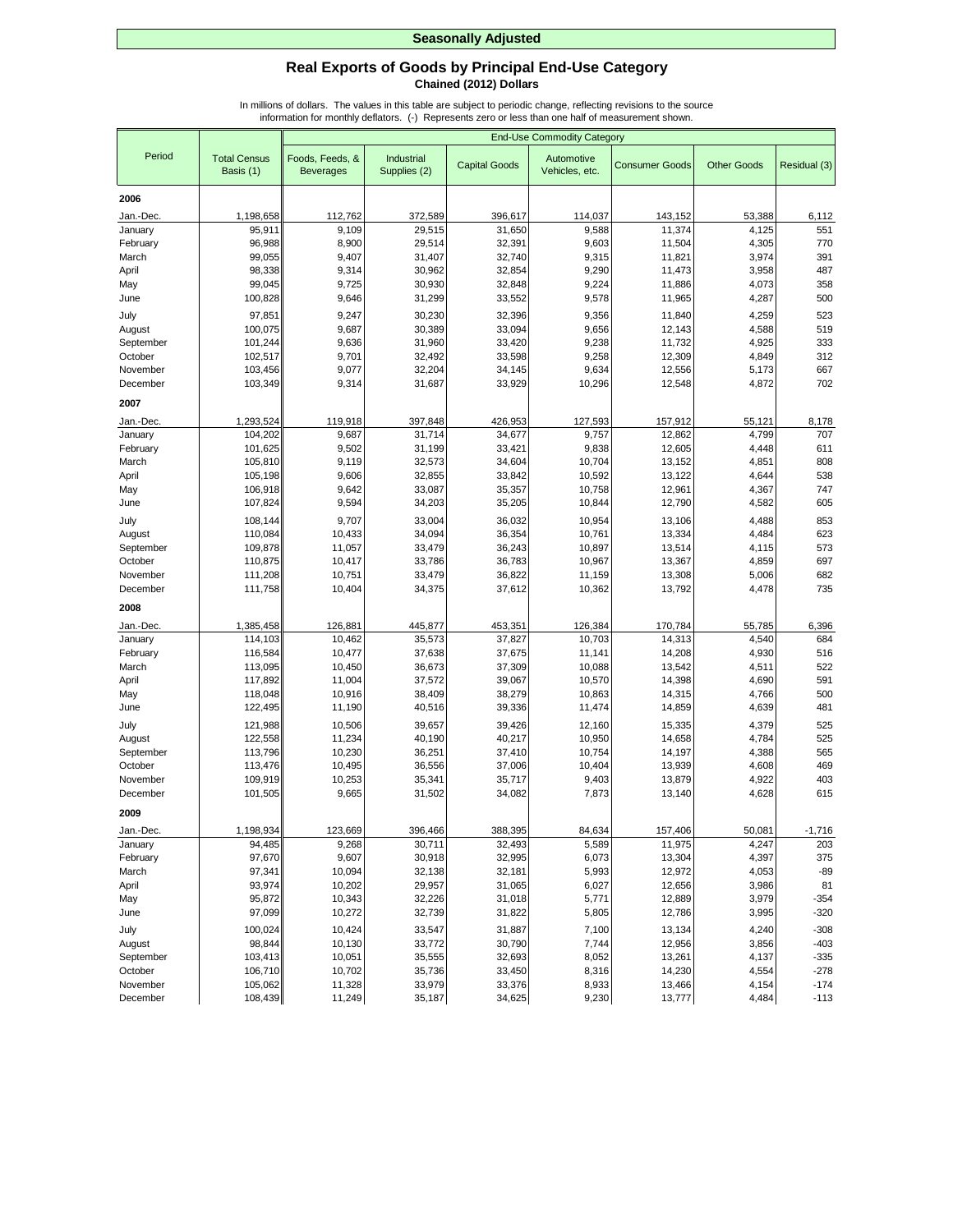## **Real Exports of Goods by Principal End-Use Category Chained (2012) Dollars**

|                      |                                  | <b>End-Use Commodity Category</b>   |                            |                      |                              |                       |                    |                  |
|----------------------|----------------------------------|-------------------------------------|----------------------------|----------------------|------------------------------|-----------------------|--------------------|------------------|
| Period               | <b>Total Census</b><br>Basis (1) | Foods, Feeds, &<br><b>Beverages</b> | Industrial<br>Supplies (2) | <b>Capital Goods</b> | Automotive<br>Vehicles, etc. | <b>Consumer Goods</b> | <b>Other Goods</b> | Residual (3)     |
| 2006                 |                                  |                                     |                            |                      |                              |                       |                    |                  |
| Jan.-Dec.            | 1,198,658                        | 112,762                             | 372,589                    | 396,617              | 114,037                      | 143,152               | 53,388             | 6,112            |
| January              | 95,911                           | 9,109                               | 29.515                     | 31,650               | 9,588                        | 11,374                | 4,125              | 551              |
| February             | 96,988                           | 8,900                               | 29,514                     | 32,391               | 9,603                        | 11,504                | 4,305              | 770              |
| March                | 99,055                           | 9,407                               | 31,407                     | 32,740               | 9,315                        | 11,821                | 3,974              | 391              |
| April                | 98,338                           | 9,314                               | 30,962                     | 32,854               | 9,290                        | 11,473                | 3,958              | 487              |
| May                  | 99.045                           | 9,725                               | 30,930                     | 32,848               | 9,224                        | 11,886                | 4,073              | 358              |
| June                 | 100,828                          | 9,646                               | 31,299                     | 33,552               | 9,578                        | 11,965                | 4,287              | 500              |
| July                 | 97,851                           | 9,247                               | 30,230                     | 32,396               | 9,356                        | 11,840                | 4,259              | 523              |
| August               | 100,075                          | 9,687                               | 30,389                     | 33,094               | 9,656                        | 12,143                | 4,588              | 519              |
| September            | 101,244                          | 9,636                               | 31,960                     | 33,420               | 9,238                        | 11,732                | 4,925              | 333              |
| October              | 102,517                          | 9,701                               | 32,492                     | 33,598               | 9,258                        | 12,309                | 4,849              | 312              |
| November             | 103,456                          | 9,077                               | 32,204                     | 34,145               | 9,634                        | 12,556                | 5,173              | 667<br>702       |
| December             | 103,349                          | 9,314                               | 31,687                     | 33,929               | 10,296                       | 12,548                | 4,872              |                  |
| 2007                 |                                  |                                     |                            |                      |                              |                       |                    |                  |
| Jan.-Dec.            | 1,293,524                        | 119,918                             | 397,848                    | 426,953              | 127,593                      | 157,912               | 55,121             | 8,178            |
| January              | 104,202                          | 9,687                               | 31,714                     | 34,677               | 9,757                        | 12,862                | 4,799              | 707              |
| February             | 101,625                          | 9,502                               | 31,199                     | 33,421               | 9,838                        | 12,605                | 4,448              | 611              |
| March                | 105,810                          | 9,119                               | 32,573                     | 34,604               | 10,704                       | 13,152                | 4,851              | 808              |
| April<br>May         | 105,198<br>106,918               | 9,606<br>9,642                      | 32,855<br>33,087           | 33,842<br>35,357     | 10,592<br>10,758             | 13,122<br>12,961      | 4,644<br>4,367     | 538<br>747       |
| June                 | 107,824                          | 9,594                               | 34,203                     | 35,205               | 10,844                       | 12,790                | 4,582              | 605              |
| July                 | 108,144                          | 9,707                               | 33,004                     | 36,032               | 10,954                       | 13,106                | 4,488              | 853              |
| August               | 110,084                          | 10,433                              | 34,094                     | 36,354               | 10,761                       | 13,334                | 4,484              | 623              |
| September            | 109,878                          | 11,057                              | 33,479                     | 36,243               | 10,897                       | 13,514                | 4,115              | 573              |
| October              | 110,875                          | 10,417                              | 33,786                     | 36,783               | 10,967                       | 13,367                | 4,859              | 697              |
| November             | 111,208                          | 10,751                              | 33,479                     | 36,822               | 11,159                       | 13,308                | 5,006              | 682              |
| December             | 111,758                          | 10,404                              | 34,375                     | 37,612               | 10,362                       | 13,792                | 4,478              | 735              |
| 2008                 |                                  |                                     |                            |                      |                              |                       |                    |                  |
| Jan.-Dec.            | 1,385,458                        | 126,881                             | 445,877                    | 453,351              | 126,384                      | 170,784               | 55,785             | 6,396            |
| January              | 114,103                          | 10,462                              | 35,573                     | 37,827               | 10,703                       | 14,313                | 4,540              | 684              |
| February             | 116,584                          | 10,477                              | 37,638                     | 37,675               | 11,141                       | 14,208                | 4,930              | 516              |
| March                | 113,095                          | 10,450                              | 36,673                     | 37,309               | 10,088                       | 13,542                | 4,511              | 522              |
| April                | 117,892                          | 11,004                              | 37,572                     | 39,067               | 10,570                       | 14,398                | 4,690              | 591              |
| May                  | 118,048                          | 10,916                              | 38,409                     | 38,279               | 10,863                       | 14,315                | 4,766              | 500              |
| June                 | 122,495                          | 11,190                              | 40,516                     | 39,336               | 11,474                       | 14,859                | 4,639              | 481              |
| July                 | 121,988                          | 10,506                              | 39,657                     | 39,426               | 12,160                       | 15,335                | 4,379              | 525              |
| August<br>September  | 122,558<br>113,796               | 11,234<br>10,230                    | 40,190<br>36,251           | 40,217<br>37,410     | 10,950<br>10,754             | 14,658<br>14,197      | 4,784<br>4,388     | 525<br>565       |
| October              | 113,476                          | 10,495                              | 36,556                     | 37,006               | 10,404                       | 13,939                | 4,608              | 469              |
| November             | 109,919                          | 10,253                              | 35,341                     | 35,717               | 9,403                        | 13,879                | 4,922              | 403              |
| December             | 101,505                          | 9,665                               | 31,502                     | 34,082               | 7,873                        | 13,140                | 4,628              | 615              |
| 2009                 |                                  |                                     |                            |                      |                              |                       |                    |                  |
| Jan.-Dec.            | 1,198,934                        | 123,669                             | 396,466                    | 388,395              | 84,634                       | 157,406               | 50,081             | $-1,716$         |
| January              | 94,485                           | 9,268                               | 30,711                     | 32,493               | 5,589                        | 11,975                | 4,247              | 203              |
| February             | 97,670                           | 9,607                               | 30,918                     | 32,995               | 6,073                        | 13,304                | 4,397              | 375              |
| March                | 97,341                           | 10,094                              | 32,138                     | 32,181               | 5,993                        | 12,972                | 4,053              | $-89$            |
| April                | 93,974                           | 10,202                              | 29,957                     | 31,065               | 6,027                        | 12,656                | 3,986              | 81               |
| May                  | 95,872                           | 10,343                              | 32,226                     | 31,018               | 5,771                        | 12,889                | 3,979              | $-354$           |
| June                 | 97,099                           | 10,272                              | 32,739                     | 31,822               | 5,805                        | 12,786                | 3,995              | $-320$           |
| July                 | 100,024                          | 10,424                              | 33,547                     | 31,887               | 7,100                        | 13,134                | 4,240              | $-308$           |
| August               | 98,844                           | 10,130                              | 33,772                     | 30,790               | 7,744                        | 12,956                | 3,856              | $-403$           |
| September<br>October | 103,413<br>106,710               | 10,051<br>10,702                    | 35,555                     | 32,693               | 8,052<br>8,316               | 13,261<br>14,230      | 4,137              | $-335$           |
| November             | 105,062                          | 11,328                              | 35,736<br>33,979           | 33,450<br>33,376     | 8,933                        | 13,466                | 4,554<br>4,154     | $-278$<br>$-174$ |
| December             | 108,439                          | 11,249                              | 35,187                     | 34,625               | 9,230                        | 13,777                | 4,484              | $-113$           |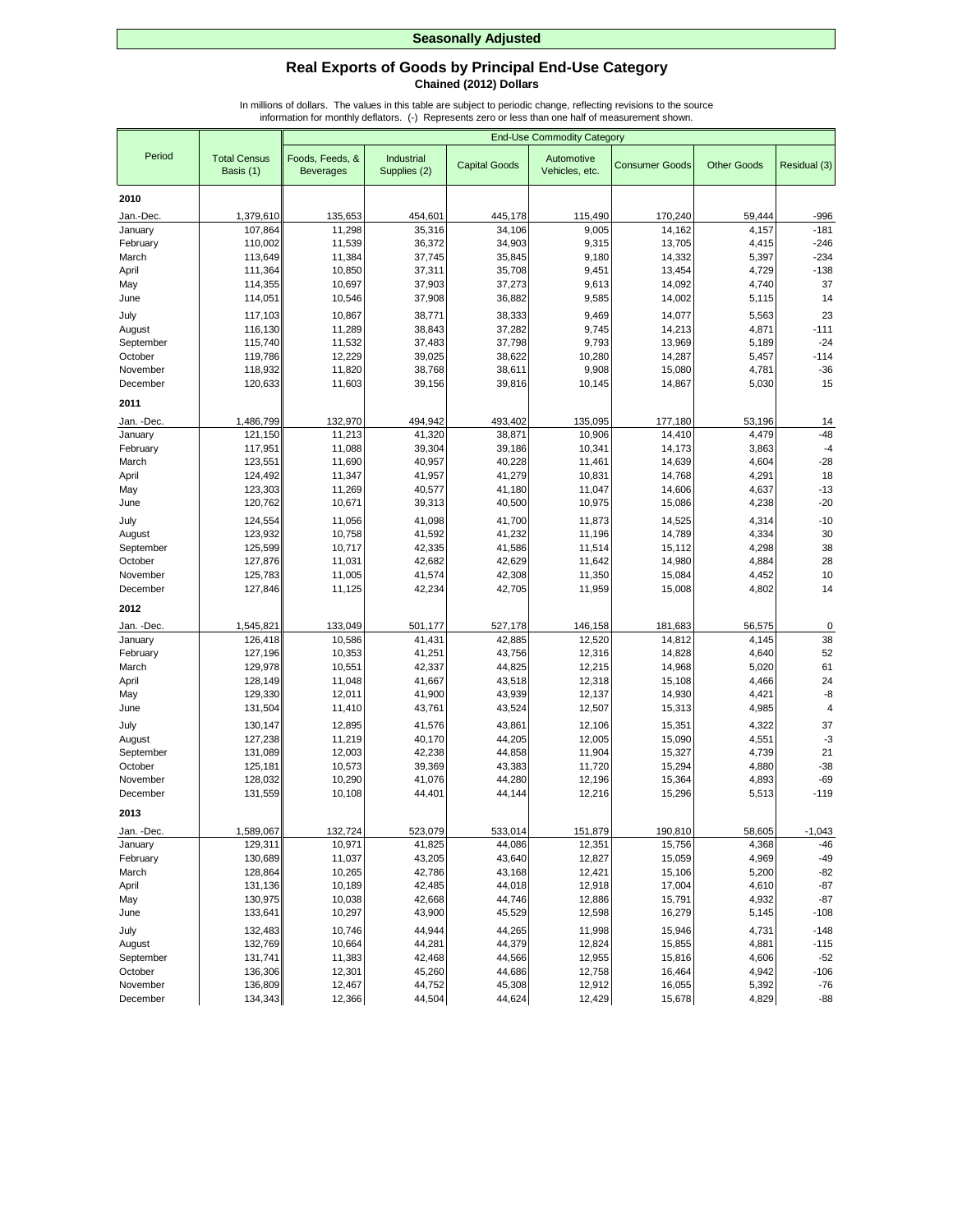## **Real Exports of Goods by Principal End-Use Category Chained (2012) Dollars**

|            |                                  | <b>End-Use Commodity Category</b>   |                            |                      |                              |                       |                    |                |
|------------|----------------------------------|-------------------------------------|----------------------------|----------------------|------------------------------|-----------------------|--------------------|----------------|
| Period     | <b>Total Census</b><br>Basis (1) | Foods, Feeds, &<br><b>Beverages</b> | Industrial<br>Supplies (2) | <b>Capital Goods</b> | Automotive<br>Vehicles, etc. | <b>Consumer Goods</b> | <b>Other Goods</b> | Residual (3)   |
| 2010       |                                  |                                     |                            |                      |                              |                       |                    |                |
| Jan.-Dec.  | 1,379,610                        | 135,653                             | 454,601                    | 445,178              | 115,490                      | 170,240               | 59,444             | -996           |
| January    | 107,864                          | 11,298                              | 35,316                     | 34,106               | 9,005                        | 14,162                | 4,157              | $-181$         |
| February   | 110,002                          | 11,539                              | 36,372                     | 34,903               | 9,315                        | 13,705                | 4,415              | $-246$         |
| March      | 113,649                          | 11,384                              | 37,745                     | 35,845               | 9,180                        | 14,332                | 5,397              | $-234$         |
| April      | 111,364                          | 10,850                              | 37,311                     | 35,708               | 9,451                        | 13,454                | 4,729              | $-138$         |
| May        | 114,355                          | 10,697                              | 37,903                     | 37,273               | 9,613                        | 14,092                | 4,740              | 37             |
| June       | 114,051                          | 10,546                              | 37,908                     | 36,882               | 9,585                        | 14,002                | 5,115              | 14             |
| July       | 117,103                          | 10,867                              | 38,771                     | 38,333               | 9,469                        | 14,077                | 5,563              | 23             |
| August     | 116,130                          | 11,289                              | 38,843                     | 37,282               | 9,745                        | 14,213                | 4,871              | $-111$         |
| September  | 115,740                          | 11,532                              | 37,483                     | 37,798               | 9,793                        | 13,969                | 5,189              | $-24$          |
| October    | 119,786                          | 12,229                              | 39,025                     | 38,622               | 10,280                       | 14,287                | 5,457              | $-114$         |
| November   | 118,932                          | 11,820                              | 38,768                     | 38,611               | 9,908                        | 15,080                | 4,781              | $-36$          |
| December   | 120,633                          | 11,603                              | 39,156                     | 39,816               | 10,145                       | 14,867                | 5,030              | 15             |
| 2011       |                                  |                                     |                            |                      |                              |                       |                    |                |
| Jan. -Dec. | 1,486,799                        | 132,970                             | 494,942                    | 493,402              | 135,095                      | 177,180               | 53,196             | 14             |
| January    | 121,150                          | 11,213                              | 41,320                     | 38,871               | 10,906                       | 14,410                | 4,479              | $-48$          |
| February   | 117,951                          | 11,088                              | 39,304                     | 39,186               | 10,341                       | 14,173                | 3,863              | $-4$           |
| March      | 123,551                          | 11,690                              | 40,957                     | 40,228               | 11,461                       | 14,639                | 4,604              | $-28$          |
| April      | 124,492                          | 11,347                              | 41,957                     | 41,279               | 10,831                       | 14,768                | 4,291              | 18             |
| May        | 123,303                          | 11,269                              | 40,577                     | 41,180               | 11,047                       | 14,606                | 4,637              | $-13$          |
| June       | 120,762                          | 10,671                              | 39,313                     | 40,500               | 10,975                       | 15,086                | 4,238              | $-20$          |
| July       | 124,554                          | 11,056                              | 41,098                     | 41,700               | 11,873                       | 14,525                | 4,314              | $-10$          |
| August     | 123,932                          | 10,758                              | 41,592                     | 41,232               | 11,196                       | 14,789                | 4,334              | 30             |
| September  | 125,599                          | 10,717                              | 42,335                     | 41,586               | 11,514                       | 15,112                | 4,298              | 38             |
| October    | 127,876                          | 11,031                              | 42,682                     | 42,629               | 11,642                       | 14,980                | 4,884              | 28             |
| November   | 125,783                          | 11,005                              | 41,574                     | 42,308               | 11,350                       | 15,084                | 4,452              | 10             |
| December   | 127,846                          | 11,125                              | 42,234                     | 42,705               | 11,959                       | 15,008                | 4,802              | 14             |
| 2012       |                                  |                                     |                            |                      |                              |                       |                    |                |
| Jan. -Dec. | 1,545,821                        | 133,049                             | 501,177                    | 527,178              | 146,158                      | 181,683               | 56,575             | 0              |
| January    | 126,418                          | 10,586                              | 41,431                     | 42,885               | 12,520                       | 14,812                | 4,145              | 38             |
| February   | 127,196                          | 10,353                              | 41,251                     | 43,756               | 12,316                       | 14,828                | 4,640              | 52             |
| March      | 129,978                          | 10,551                              | 42,337                     | 44,825               | 12,215                       | 14,968                | 5,020              | 61             |
| April      | 128,149                          | 11,048                              | 41,667                     | 43,518               | 12,318                       | 15,108                | 4,466              | 24             |
| May        | 129,330                          | 12,011                              | 41,900                     | 43,939               | 12,137                       | 14,930                | 4,421              | -8             |
| June       | 131,504                          | 11,410                              | 43,761                     | 43,524               | 12,507                       | 15,313                | 4,985              | $\overline{4}$ |
| July       | 130,147                          | 12,895                              | 41,576                     | 43,861               | 12,106                       | 15,351                | 4,322              | 37             |
| August     | 127,238                          | 11,219                              | 40,170                     | 44,205               | 12,005                       | 15,090                | 4,551              | $-3$           |
| September  | 131,089                          | 12,003                              | 42,238                     | 44,858               | 11,904                       | 15,327                | 4,739              | 21             |
| October    | 125,181                          | 10,573                              | 39,369                     | 43,383               | 11,720                       | 15,294                | 4,880              | $-38$          |
| November   | 128,032                          | 10,290                              | 41,076                     | 44,280               | 12,196                       | 15,364                | 4,893              | $-69$          |
| December   | 131,559                          | 10,108                              | 44,401                     | 44,144               | 12,216                       | 15,296                | 5,513              | $-119$         |
| 2013       |                                  |                                     |                            |                      |                              |                       |                    |                |
| Jan. -Dec. | 1,589,067                        | 132,724                             | 523,079                    | 533,014              | 151,879                      | 190,810               | 58,605             | $-1,043$       |
| January    | 129,311                          | 10,971                              | 41,825                     | 44,086               | 12,351                       | 15,756                | 4,368              | $-46$          |
| February   | 130,689                          | 11,037                              | 43,205                     | 43,640               | 12,827                       | 15,059                | 4,969              | $-49$          |
| March      | 128,864                          | 10,265                              | 42,786                     | 43,168               | 12,421                       | 15,106                | 5,200              | $-82$          |
| April      | 131,136                          | 10,189                              | 42,485                     | 44,018               | 12,918                       | 17,004                | 4,610              | $-87$          |
| May        | 130,975                          | 10,038                              | 42,668                     | 44,746               | 12,886                       | 15,791                | 4,932              | $-87$          |
| June       | 133,641                          | 10,297                              | 43,900                     | 45,529               | 12,598                       | 16,279                | 5,145              | $-108$         |
| July       | 132,483                          | 10,746                              | 44,944                     | 44,265               | 11,998                       | 15,946                | 4,731              | $-148$         |
| August     | 132,769                          | 10,664                              | 44,281                     | 44,379               | 12,824                       | 15,855                | 4,881              | $-115$         |
| September  | 131,741                          | 11,383                              | 42,468                     | 44,566               | 12,955                       | 15,816                | 4,606              | $-52$          |
| October    | 136,306                          | 12,301                              | 45,260                     | 44,686               | 12,758                       | 16,464                | 4,942              | $-106$         |
| November   | 136,809                          | 12,467                              | 44,752                     | 45,308               | 12,912                       | 16,055                | 5,392              | $-76$          |
| December   | 134,343                          | 12,366                              | 44,504                     | 44,624               | 12,429                       | 15,678                | 4,829              | $-88$          |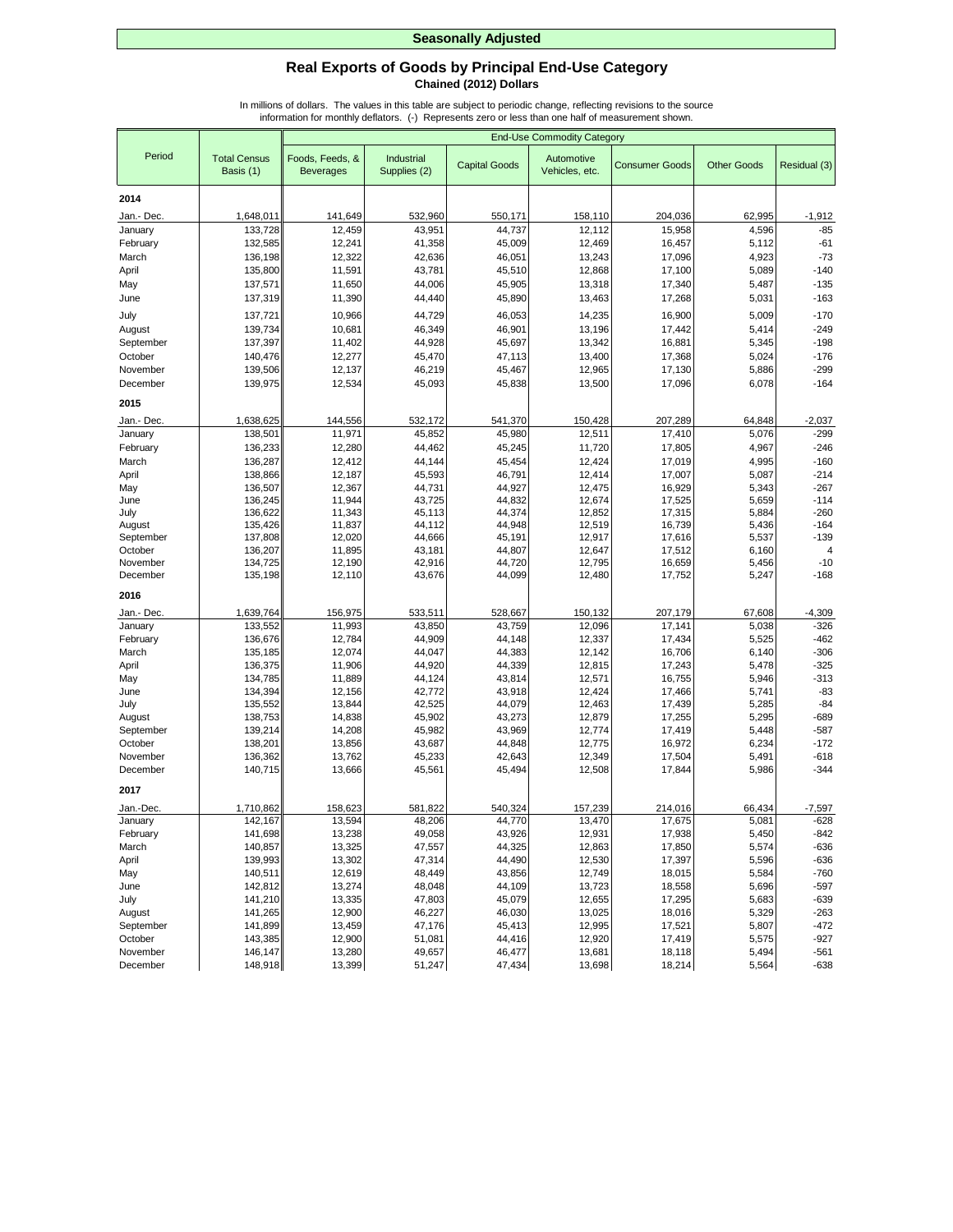## **Real Exports of Goods by Principal End-Use Category Chained (2012) Dollars**

|                      |                                  | <b>End-Use Commodity Category</b>   |                            |                      |                              |                       |                    |                  |
|----------------------|----------------------------------|-------------------------------------|----------------------------|----------------------|------------------------------|-----------------------|--------------------|------------------|
| Period               | <b>Total Census</b><br>Basis (1) | Foods, Feeds, &<br><b>Beverages</b> | Industrial<br>Supplies (2) | <b>Capital Goods</b> | Automotive<br>Vehicles, etc. | <b>Consumer Goods</b> | <b>Other Goods</b> | Residual (3)     |
|                      |                                  |                                     |                            |                      |                              |                       |                    |                  |
| 2014                 |                                  |                                     |                            |                      |                              |                       |                    |                  |
| Jan.- Dec            | 1,648,011                        | 141,649                             | 532,960                    | 550,171              | 158,110                      | 204,036               | 62,995             | $-1,912$         |
| January              | 133,728                          | 12,459                              | 43,951                     | 44,737               | 12,112                       | 15,958                | 4,596              | $-85$            |
| February             | 132,585                          | 12,241                              | 41,358                     | 45,009               | 12,469                       | 16,457                | 5,112              | $-61$            |
| March                | 136,198                          | 12,322                              | 42,636                     | 46,051               | 13,243                       | 17,096                | 4,923              | $-73$            |
| April                | 135,800<br>137,571               | 11,591<br>11,650                    | 43,781<br>44,006           | 45,510<br>45,905     | 12,868<br>13,318             | 17,100<br>17,340      | 5,089<br>5,487     | $-140$<br>$-135$ |
| May<br>June          | 137,319                          | 11,390                              | 44,440                     | 45,890               | 13,463                       | 17,268                | 5,031              | $-163$           |
|                      |                                  |                                     |                            |                      |                              |                       |                    |                  |
| July                 | 137,721                          | 10,966                              | 44,729                     | 46,053               | 14,235                       | 16,900                | 5,009              | $-170$           |
| August               | 139,734                          | 10,681                              | 46,349                     | 46,901               | 13,196                       | 17,442                | 5,414              | $-249$           |
| September<br>October | 137,397                          | 11,402<br>12,277                    | 44,928<br>45,470           | 45,697<br>47,113     | 13,342<br>13,400             | 16,881<br>17,368      | 5,345<br>5,024     | $-198$<br>$-176$ |
| November             | 140,476<br>139,506               | 12,137                              | 46,219                     | 45,467               | 12,965                       | 17,130                | 5,886              | $-299$           |
| December             | 139,975                          | 12,534                              | 45,093                     | 45,838               | 13,500                       | 17,096                | 6,078              | $-164$           |
|                      |                                  |                                     |                            |                      |                              |                       |                    |                  |
| 2015                 |                                  |                                     |                            |                      |                              |                       |                    |                  |
| Jan.- Dec            | 1,638,625                        | 144,556                             | 532,172                    | 541,370              | 150,428                      | 207,289               | 64,848             | $-2,037$         |
| January              | 138,501                          | 11,971                              | 45,852                     | 45,980               | 12,511                       | 17,410                | 5,076              | $-299$           |
| February             | 136,233                          | 12,280                              | 44,462                     | 45,245               | 11,720                       | 17,805                | 4,967              | $-246$           |
| March                | 136,287                          | 12,412                              | 44,144                     | 45,454               | 12,424                       | 17,019                | 4,995              | $-160$           |
| April                | 138,866                          | 12,187                              | 45,593                     | 46,791               | 12,414                       | 17,007                | 5,087              | $-214$           |
| May                  | 136,507<br>136,245               | 12,367<br>11,944                    | 44,731                     | 44,927<br>44,832     | 12,475<br>12,674             | 16,929<br>17,525      | 5,343              | $-267$<br>$-114$ |
| June<br>July         | 136,622                          | 11,343                              | 43,725<br>45,113           | 44,374               | 12,852                       | 17,315                | 5,659<br>5,884     | $-260$           |
| August               | 135,426                          | 11,837                              | 44,112                     | 44,948               | 12,519                       | 16,739                | 5,436              | $-164$           |
| September            | 137,808                          | 12,020                              | 44,666                     | 45,191               | 12,917                       | 17,616                | 5,537              | $-139$           |
| October              | 136,207                          | 11,895                              | 43,181                     | 44,807               | 12,647                       | 17,512                | 6,160              | 4                |
| November             | 134,725                          | 12,190                              | 42,916                     | 44,720               | 12,795                       | 16,659                | 5,456              | $-10$            |
| December             | 135,198                          | 12,110                              | 43,676                     | 44,099               | 12,480                       | 17,752                | 5,247              | $-168$           |
| 2016                 |                                  |                                     |                            |                      |                              |                       |                    |                  |
| Jan.- Dec            | 1,639,764                        | 156,975                             | 533,511                    | 528,667              | 150,132                      | 207,179               | 67,608             | $-4,309$         |
| January              | 133,552                          | 11,993                              | 43,850                     | 43,759               | 12,096                       | 17,141                | 5,038              | $-326$           |
| February             | 136,676                          | 12,784                              | 44,909                     | 44,148               | 12,337                       | 17,434                | 5,525              | $-462$           |
| March                | 135,185                          | 12,074                              | 44,047                     | 44,383               | 12,142                       | 16,706                | 6,140              | $-306$           |
| April                | 136,375                          | 11,906                              | 44,920                     | 44,339               | 12,815                       | 17,243                | 5,478              | $-325$           |
| May                  | 134,785                          | 11,889                              | 44,124                     | 43,814               | 12,571                       | 16,755                | 5,946              | $-313$           |
| June                 | 134,394                          | 12,156                              | 42,772                     | 43,918               | 12,424                       | 17,466                | 5,741              | $-83$            |
| July                 | 135,552                          | 13,844                              | 42,525                     | 44,079               | 12,463                       | 17,439                | 5,285              | $-84$            |
| August               | 138,753                          | 14,838                              | 45,902                     | 43,273               | 12,879                       | 17,255                | 5,295              | $-689$           |
| September            | 139,214                          | 14,208                              | 45,982                     | 43,969               | 12,774                       | 17,419                | 5,448              | $-587$           |
| October<br>November  | 138,201<br>136,362               | 13,856<br>13,762                    | 43,687<br>45,233           | 44,848<br>42,643     | 12,775<br>12,349             | 16,972<br>17,504      | 6,234<br>5,491     | $-172$<br>$-618$ |
| December             | 140,715                          | 13,666                              | 45,561                     | 45,494               | 12,508                       | 17,844                | 5,986              | $-344$           |
| 2017                 |                                  |                                     |                            |                      |                              |                       |                    |                  |
| Jan.-Dec.            | 1,710,862                        | 158,623                             | 581,822                    | 540,324              | 157,239                      | 214,016               | 66,434             | $-7,597$         |
| January              | 142,167                          | 13,594                              | 48,206                     | 44,770               | 13,470                       | 17,675                | 5,081              | $-628$           |
| February             | 141,698                          | 13,238                              | 49,058                     | 43,926               | 12,931                       | 17,938                | 5,450              | $-842$           |
| March                | 140,857                          | 13,325                              | 47,557                     | 44,325               | 12,863                       | 17,850                | 5,574              | $-636$           |
| April                | 139,993                          | 13,302                              | 47,314                     | 44,490               | 12,530                       | 17,397                | 5,596              | -636             |
| May                  | 140,511                          | 12,619                              | 48,449                     | 43,856               | 12,749                       | 18,015                | 5,584              | $-760$           |
| June                 | 142,812                          | 13,274                              | 48,048                     | 44,109               | 13,723                       | 18,558                | 5,696              | $-597$           |
| July                 | 141,210                          | 13,335                              | 47,803                     | 45,079               | 12,655                       | 17,295                | 5,683              | $-639$           |
| August               | 141,265                          | 12,900                              | 46,227                     | 46,030               | 13,025                       | 18,016                | 5,329              | $-263$           |
| September            | 141,899                          | 13,459                              | 47,176                     | 45,413               | 12,995                       | 17,521                | 5,807              | $-472$           |
| October              | 143,385                          | 12,900                              | 51,081                     | 44,416               | 12,920                       | 17,419                | 5,575              | $-927$           |
| November             | 146,147                          | 13,280                              | 49,657                     | 46,477               | 13,681                       | 18,118                | 5,494              | $-561$           |
| December             | 148,918                          | 13,399                              | 51,247                     | 47,434               | 13,698                       | 18,214                | 5,564              | $-638$           |